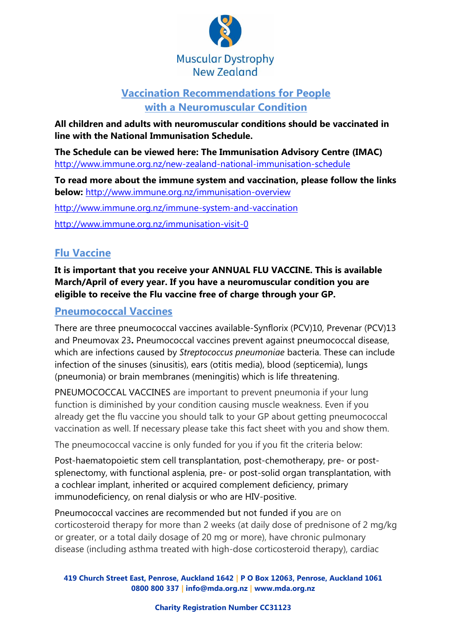

# **Vaccination Recommendations for People with a Neuromuscular Condition**

**All children and adults with neuromuscular conditions should be vaccinated in line with the National Immunisation Schedule.** 

**The Schedule can be viewed here: The Immunisation Advisory Centre (IMAC)**  <http://www.immune.org.nz/new-zealand-national-immunisation-schedule>

**To read more about the immune system and vaccination, please follow the links below:** <http://www.immune.org.nz/immunisation-overview>

<http://www.immune.org.nz/immune-system-and-vaccination>

<http://www.immune.org.nz/immunisation-visit-0>

# **Flu Vaccine**

**It is important that you receive your ANNUAL FLU VACCINE. This is available March/April of every year. If you have a neuromuscular condition you are eligible to receive the Flu vaccine free of charge through your GP.** 

## **Pneumococcal Vaccines**

There are three pneumococcal vaccines available-Synflorix (PCV)10, Prevenar (PCV)13 and Pneumovax 23**.** Pneumococcal vaccines prevent against pneumococcal disease, which are infections caused by *Streptococcus pneumoniae* bacteria. These can include infection of the sinuses (sinusitis), ears (otitis media), blood (septicemia), lungs (pneumonia) or brain membranes (meningitis) which is life threatening.

PNEUMOCOCCAL VACCINES are important to prevent pneumonia if your lung function is diminished by your condition causing muscle weakness. Even if you already get the flu vaccine you should talk to your GP about getting pneumococcal vaccination as well. If necessary please take this fact sheet with you and show them.

The pneumococcal vaccine is only funded for you if you fit the criteria below:

Post-haematopoietic stem cell transplantation, post-chemotherapy, pre- or postsplenectomy, with functional asplenia, pre- or post-solid organ transplantation, with a cochlear implant, inherited or acquired complement deficiency, primary immunodeficiency, on renal dialysis or who are HIV-positive.

Pneumococcal vaccines are recommended but not funded if you are on corticosteroid therapy for more than 2 weeks (at daily dose of prednisone of 2 mg/kg or greater, or a total daily dosage of 20 mg or more), have chronic pulmonary disease (including asthma treated with high-dose corticosteroid therapy), cardiac

**419 Church Street East, Penrose, Auckland 1642 | P O Box 12063, Penrose, Auckland 1061 0800 800 337 | info@mda.org.nz | [www.mda.org.nz](http://www.mda.org.nz/)**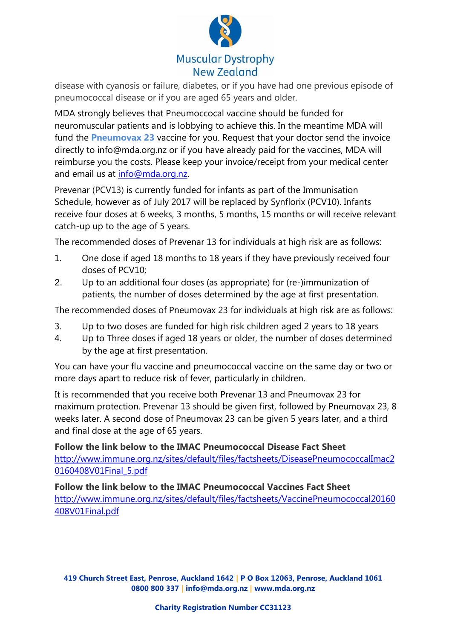

disease with cyanosis or failure, diabetes, or if you have had one previous episode of pneumococcal disease or if you are aged 65 years and older.

MDA strongly believes that Pneumoccocal vaccine should be funded for neuromuscular patients and is lobbying to achieve this. In the meantime MDA will fund the **Pneumovax 23** vaccine for you. Request that your doctor send the invoice directly to info@mda.org.nz or if you have already paid for the vaccines, MDA will reimburse you the costs. Please keep your invoice/receipt from your medical center and email us at [info@mda.org.nz.](mailto:info@mda.org.nz)

Prevenar (PCV13) is currently funded for infants as part of the Immunisation Schedule, however as of July 2017 will be replaced by Synflorix (PCV10). Infants receive four doses at 6 weeks, 3 months, 5 months, 15 months or will receive relevant catch-up up to the age of 5 years.

The recommended doses of Prevenar 13 for individuals at high risk are as follows:

- 1. One dose if aged 18 months to 18 years if they have previously received four doses of PCV10;
- 2. Up to an additional four doses (as appropriate) for (re-)immunization of patients, the number of doses determined by the age at first presentation.

The recommended doses of Pneumovax 23 for individuals at high risk are as follows:

- 3. Up to two doses are funded for high risk children aged 2 years to 18 years
- 4. Up to Three doses if aged 18 years or older, the number of doses determined by the age at first presentation.

You can have your flu vaccine and pneumococcal vaccine on the same day or two or more days apart to reduce risk of fever, particularly in children.

It is recommended that you receive both Prevenar 13 and Pneumovax 23 for maximum protection. Prevenar 13 should be given first, followed by Pneumovax 23, 8 weeks later. A second dose of Pneumovax 23 can be given 5 years later, and a third and final dose at the age of 65 years.

**Follow the link below to the IMAC Pneumococcal Disease Fact Sheet**  [http://www.immune.org.nz/sites/default/files/factsheets/DiseasePneumococcalImac2](http://www.immune.org.nz/sites/default/files/factsheets/DiseasePneumococcalImac20160408V01Final_5.pdf) [0160408V01Final\\_5.pdf](http://www.immune.org.nz/sites/default/files/factsheets/DiseasePneumococcalImac20160408V01Final_5.pdf)

#### **Follow the link below to the IMAC Pneumococcal Vaccines Fact Sheet**

[http://www.immune.org.nz/sites/default/files/factsheets/VaccinePneumococcal20160](http://www.immune.org.nz/sites/default/files/factsheets/VaccinePneumococcal20160408V01Final.pdf) [408V01Final.pdf](http://www.immune.org.nz/sites/default/files/factsheets/VaccinePneumococcal20160408V01Final.pdf)

**419 Church Street East, Penrose, Auckland 1642 | P O Box 12063, Penrose, Auckland 1061 0800 800 337 | info@mda.org.nz | [www.mda.org.nz](http://www.mda.org.nz/)**